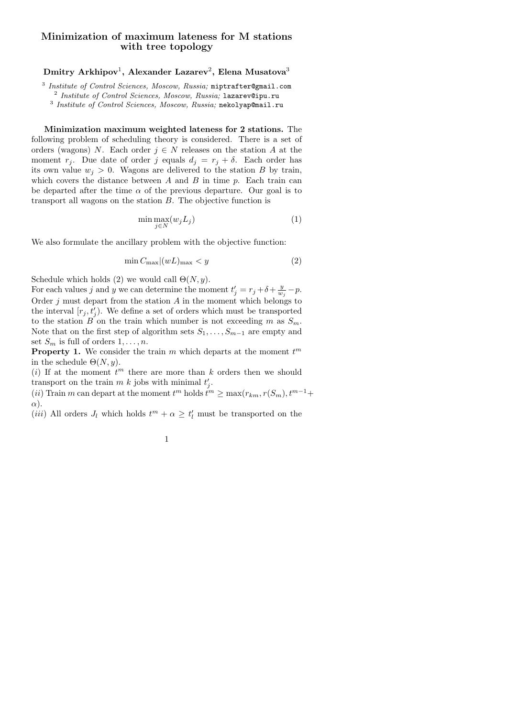## Minimization of maximum lateness for M stations with tree topology

 ${\rm Dmitry\ Arkhipov^1,\ Arkakov^3}$  Alexander Lazarev $^2,$  Elena Musatova $^3$ 

3 Institute of Control Sciences, Moscow, Russia; miptrafter@gmail.com

2 Institute of Control Sciences, Moscow, Russia; lazarev@ipu.ru

<sup>3</sup> Institute of Control Sciences, Moscow, Russia; nekolyap@mail.ru

Minimization maximum weighted lateness for 2 stations. The following problem of scheduling theory is considered. There is a set of orders (wagons) N. Each order  $j \in N$  releases on the station A at the moment  $r_j$ . Due date of order j equals  $d_j = r_j + \delta$ . Each order has its own value  $w_i > 0$ . Wagons are delivered to the station B by train, which covers the distance between  $A$  and  $B$  in time  $p$ . Each train can be departed after the time  $\alpha$  of the previous departure. Our goal is to transport all wagons on the station B. The objective function is

$$
\min \max_{j \in N} (w_j L_j) \tag{1}
$$

We also formulate the ancillary problem with the objective function:

$$
\min C_{\max} |(wL)_{\max} < y \tag{2}
$$

Schedule which holds (2) we would call  $\Theta(N, y)$ .

For each values j and y we can determine the moment  $t'_{j} = r_{j} + \delta + \frac{y}{w_{j}} - p$ . Order  $j$  must depart from the station  $A$  in the moment which belongs to the interval  $[r_j, t'_j)$ . We define a set of orders which must be transported to the station B on the train which number is not exceeding m as  $S_m$ . Note that on the first step of algorithm sets  $S_1, \ldots, S_{m-1}$  are empty and set  $S_m$  is full of orders  $1, \ldots, n$ .

**Property 1.** We consider the train  $m$  which departs at the moment  $t^m$ in the schedule  $\Theta(N, y)$ .

(i) If at the moment  $t^m$  there are more than k orders then we should transport on the train  $m k$  jobs with minimal  $t'_j$ .

(*ii*) Train m can depart at the moment  $t^m$  holds  $\overline{t}^m \ge \max(r_{km}, r(S_m), t^{m-1}+$  $\alpha$ ).

(*iii*) All orders  $J_l$  which holds  $t^m + \alpha \geq t'_l$  must be transported on the

1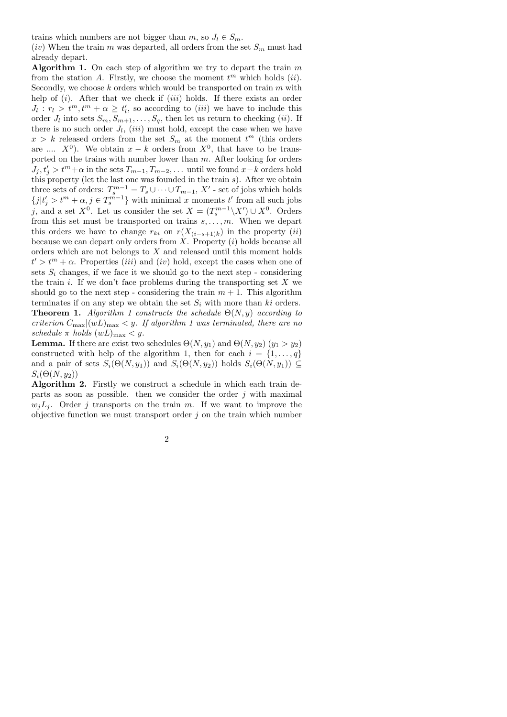trains which numbers are not bigger than m, so  $J_l \in S_m$ .

(iv) When the train m was departed, all orders from the set  $S_m$  must had already depart.

Algorithm 1. On each step of algorithm we try to depart the train  $m$ from the station A. Firstly, we choose the moment  $t^m$  which holds  $(ii)$ . Secondly, we choose  $k$  orders which would be transported on train  $m$  with help of  $(i)$ . After that we check if  $(iii)$  holds. If there exists an order  $J_l: r_l > t^m, t^m + \alpha \geq t'_l$ , so according to *(iii)* we have to include this order  $J_l$  into sets  $S_m, S_{m+1}, \ldots, S_q$ , then let us return to checking (*ii*). If there is no such order  $J_l$ , (iii) must hold, except the case when we have  $x > k$  released orders from the set  $S_m$  at the moment  $t^m$  (this orders are ....  $X^0$ ). We obtain  $x - k$  orders from  $X^0$ , that have to be transported on the trains with number lower than  $m$ . After looking for orders  $J_j, t'_j > t^m + \alpha$  in the sets  $T_{m-1}, T_{m-2}, \ldots$  until we found  $x-k$  orders hold this property (let the last one was founded in the train  $s$ ). After we obtain three sets of orders:  $T_s^{m-1} = T_s \cup \cdots \cup T_{m-1}$ , X' - set of jobs which holds  ${j|t'_{j} > t^{m} + \alpha, j \in T_{s}^{m-1}}$  with minimal x moments t' from all such jobs j, and a set  $X^0$ . Let us consider the set  $X = (T_s^{m-1} \setminus X') \cup X^0$ . Orders from this set must be transported on trains  $s, \ldots, m$ . When we depart this orders we have to change  $r_{ki}$  on  $r(X_{(i-s+1)k})$  in the property (ii) because we can depart only orders from  $X$ . Property  $(i)$  holds because all orders which are not belongs to  $X$  and released until this moment holds  $t' > t^m + \alpha$ . Properties *(iii)* and *(iv)* hold, except the cases when one of sets  $S_i$  changes, if we face it we should go to the next step - considering the train i. If we don't face problems during the transporting set  $X$  we should go to the next step - considering the train  $m + 1$ . This algorithm terminates if on any step we obtain the set  $S_i$  with more than ki orders. **Theorem 1.** Algorithm 1 constructs the schedule  $\Theta(N, y)$  according to criterion  $C_{\text{max}}|(wL)_{\text{max}} < y$ . If algorithm 1 was terminated, there are no schedule  $\pi$  holds  $(wL)_{\text{max}} < y$ .

**Lemma.** If there are exist two schedules  $\Theta(N, y_1)$  and  $\Theta(N, y_2)$  ( $y_1 > y_2$ ) constructed with help of the algorithm 1, then for each  $i = \{1, \ldots, q\}$ and a pair of sets  $S_i(\Theta(N, y_1))$  and  $S_i(\Theta(N, y_2))$  holds  $S_i(\Theta(N, y_1)) \subseteq$  $S_i(\Theta(N, y_2))$ 

Algorithm 2. Firstly we construct a schedule in which each train departs as soon as possible. then we consider the order  $j$  with maximal  $w_jL_j$ . Order j transports on the train m. If we want to improve the objective function we must transport order  $j$  on the train which number

2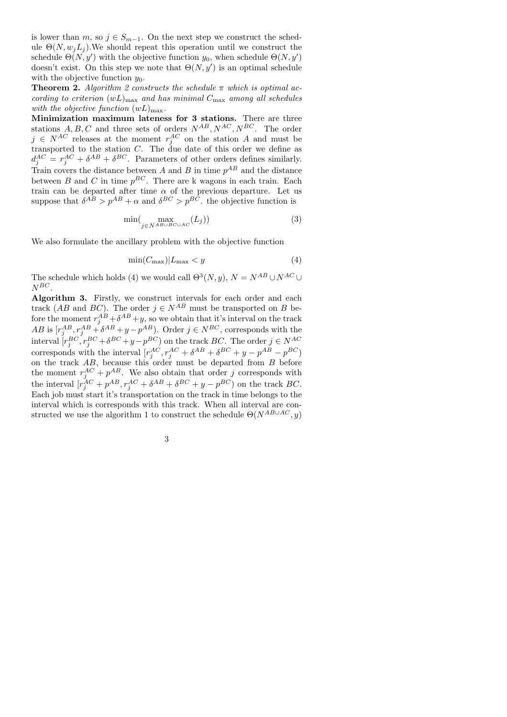is lower than  $m$ , so  $j \in S_{m-1}$ . On the next step we construct the schedule  $\Theta(N, w_i L_i)$ . We should repeat this operation until we construct the schedule  $\Theta(N, y')$  with the objective function  $y_0$ , when schedule  $\Theta(N, y')$ doesn't exist. On this step we note that  $\Theta(N, y')$  is an optimal schedule with the objective function  $y_0$ .

**Theorem 2.** Algorithm 2 constructs the schedule  $\pi$  which is optimal according to criterion  $(wL)_{\text{max}}$  and has minimal  $C_{\text{max}}$  among all schedules with the objective function  $(wL)_{\text{max}}$ .

Minimization maximum lateness for 3 stations. There are three stations  $A, B, C$  and three sets of orders  $N^{AB}, N^{AC}, N^{BC}$ . The order  $j \in N^{AC}$  releases at the moment  $r_j^{AC}$  on the station A and must be transported to the station C. The due date of this order we define as  $d_j^{AC} = r_j^{AC} + \delta^{AB} + \delta^{BC}$ . Parameters of other orders defines similarly. Train covers the distance between A and B in time  $p^{AB}$  and the distance between B and C in time  $p^{BC}$ . There are k wagons in each train. Each train can be departed after time  $\alpha$  of the previous departure. Let us suppose that  $\delta^{AB} > p^{AB} + \alpha$  and  $\delta^{BC} > p^{BC}$ , the objective function is

$$
\min(\max_{j \in N^{AB \cup BC \cup AC}} (L_j))\tag{3}
$$

We also formulate the ancillary problem with the objective function

$$
\min(C_{\text{max}})|L_{\text{max}} < y \tag{4}
$$

The schedule which holds (4) we would call  $\Theta^3(N, y)$ ,  $N = N^{AB} \cup N^{AC} \cup$  $N^{BC}$ 

Algorithm 3. Firstly, we construct intervals for each order and each track (AB and BC). The order  $j \in N^{AB}$  must be transported on B before the moment  $r_j^{AB} + \delta^{AB} + y$ , so we obtain that it's interval on the track  $AB$  is  $[r_j^{AB}, r_j^{AB} + \delta^{AB} + y - p^{AB})$ . Order  $j \in N^{BC}$ , corresponds with the interval  $[r_j^{BC}, r_j^{BC} + \delta^{BC} + y - p^{BC})$  on the track BC. The order  $j \in N^{AC}$ corresponds with the interval  $[r_j^{AC}, r_j^{AC} + \delta^{AB} + \delta^{BC} + y - p^{AB} - p^{BC}]$ on the track AB, because this order must be departed from B before the moment  $r_j^{AC} + p^{AB}$ . We also obtain that order j corresponds with the interval  $[r_j^{AC} + p^{AB}, r_j^{AC} + \delta^{AB} + \delta^{BC} + y - p^{BC}]$  on the track BC. Each job must start it's transportation on the track in time belongs to the interval which is corresponds with this track. When all interval are constructed we use the algorithm 1 to construct the schedule  $\Theta(N^{AB\cup AC}, y)$ 

|   | ٠ |    |         |  |
|---|---|----|---------|--|
|   |   |    | ç       |  |
|   | I |    |         |  |
|   |   |    | ۰,<br>I |  |
| w |   | ۰. |         |  |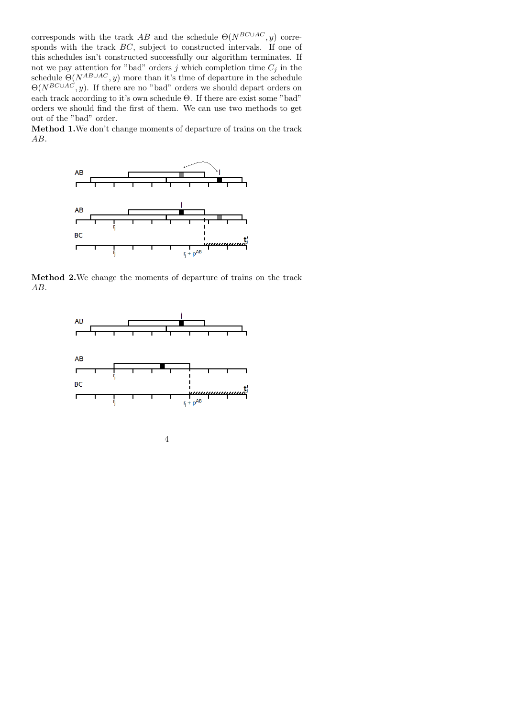corresponds with the track AB and the schedule  $\Theta(N^{BC\cup AC}, y)$  corresponds with the track  $BC$ , subject to constructed intervals. If one of this schedules isn't constructed successfully our algorithm terminates. If not we pay attention for "bad" orders j which completion time  $C_j$  in the schedule  $\Theta(N^{AB\cup AC}, y)$  more than it's time of departure in the schedule  $\Theta(N^{BC\cup AC}, y)$ . If there are no "bad" orders we should depart orders on each track according to it's own schedule Θ. If there are exist some "bad" orders we should find the first of them. We can use two methods to get out of the "bad" order.

Method 1.We don't change moments of departure of trains on the track AB.



Method 2.We change the moments of departure of trains on the track AB.